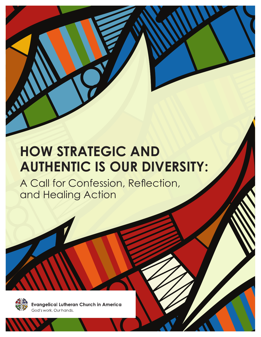# **HOW STRATEGIC AND AUTHENTIC IS OUR DIVERSITY:**

**HOW STRATEGIC AND AUTHENTIC IS OUR DIVERSITY:** A Call for Confession, Reflection, and Healing Action

A Call for Confession, Reflection, and Healing Action



**Evangelical Lutheran Church in America** God's work. Our hands.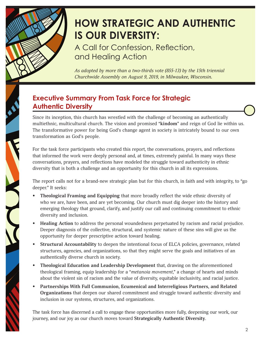

## **HOW STRATEGIC AND AUTHENTIC IS OUR DIVERSITY:**

A Call for Confession, Reflection, and Healing Action

*As adopted by more than a two-thirds vote (855-13) by the 15th triennial Churchwide Assembly on August 9, 2019, in Milwaukee, Wisconsin.*

#### **Executive Summary From Task Force for Strategic Authentic Diversity**

Since its inception, this church has wrestled with the challenge of becoming an authentically multiethnic, multicultural church. The vision and promised "**kindom**" and reign of God lie within us. The transformative power for being God's change agent in society is intricately bound to our own transformation as God's people.

For the task force participants who created this report, the conversations, prayers, and reflections that informed the work were deeply personal and, at times, extremely painful. In many ways these conversations, prayers, and reflections have modeled the struggle toward authenticity in ethnic diversity that is both a challenge and an opportunity for this church in all its expressions.

The report calls not for a brand-new strategic plan but for this church, in faith and with integrity, to "go deeper." It seeks:

- **• Theological Framing and Equipping** that more broadly reflect the wide ethnic diversity of who we are, have been, and are yet becoming. Our church must dig deeper into the history and emerging theology that ground, clarify, and justify our call and continuing commitment to ethnic diversity and inclusion.
- **• Healing Action** to address the personal woundedness perpetuated by racism and racial prejudice. Deeper diagnosis of the collective, structural, and systemic nature of these sins will give us the opportunity for deeper prescriptive action toward healing.
- **• Structural Accountability** to deepen the intentional focus of ELCA policies, governance, related structures, agencies, and organizations, so that they might serve the goals and initiatives of an authentically diverse church in society.
- **• Theological Education and Leadership Development** that, drawing on the aforementioned theological framing, equip leadership for a "*metanoia movement*," a change of hearts and minds about the violent sin of racism and the value of diversity, equitable inclusivity, and racial justice.
- **• Partnerships With Full Communion, Ecumenical and Interreligious Partners, and Related Organizations** that deepen our shared commitment and struggle toward authentic diversity and inclusion in our systems, structures, and organizations.

The task force has discerned a call to engage these opportunities more fully, deepening our work, our journey, and our joy as our church moves toward **Strategically Authentic Diversity**.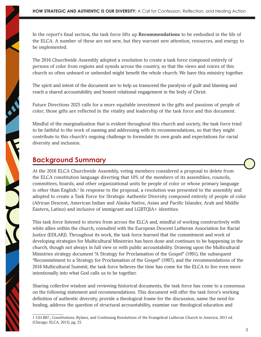In the report's final section, the task force lifts up **Recommendations** to be embodied in the life of the ELCA. A number of these are not new, but they warrant new attention, resources, and energy to be implemented.

The 2016 Churchwide Assembly adopted a resolution to create a task force composed entirely of persons of color from regions and synods across the country, so that the views and voices of this church so often unheard or unheeded might benefit the whole church. We have this ministry together.

The spirit and intent of the document are to help us transcend the paralysis of guilt and blaming and reach a shared accountability and honest relational engagement in the body of Christ.

Future Directions 2025 calls for a more equitable investment in the gifts and passions of people of color; those gifts are reflected in the vitality and leadership of the task force and this document.

Mindful of the marginalization that is evident throughout this church and society, the task force tried to be faithful to the work of naming and addressing with its recommendations, so that they might contribute to this church's ongoing challenge to formulate its own goals and expectations for racial diversity and inclusion.

#### **Background Summary**

At the 2016 ELCA Churchwide Assembly, voting members considered a proposal to delete from the ELCA constitution language directing that 10% of the members of its assemblies, councils, committees, boards, and other organizational units be people of color or whose primary language is other than English.<sup>1</sup> In response to the proposal, a resolution was presented to the assembly and adopted to create a Task Force for Strategic Authentic Diversity composed entirely of people of color (African Descent, American Indian and Alaska Native, Asian and Pacific Islander, Arab and Middle Eastern, Latino) and inclusive of immigrant and LGBTQIA+ identities.

This task force listened to stories from across the ELCA and, mindful of working constructively with white allies within the church, consulted with the European Descent Lutheran Association for Racial Justice (EDLARJ). Throughout its work, the task force learned that the commitment and work of developing strategies for Multicultural Ministries has been done and continues to be happening in the church, though not always in full view or with public accountability. Drawing upon the Multicultural Ministries strategy document "A Strategy for Proclamation of the Gospel" (1991), the subsequent "Recommitment to a Strategy for Proclamation of the Gospel" (1997), and the recommendations of the 2016 Multicultural Summit, the task force believes the time has come for the ELCA to live even more intentionally into what God calls us to be together.

Sharing collective wisdom and reviewing historical documents, the task force has come to a consensus on the following statement and recommendations. This document will offer the task force's working definition of authentic diversity, provide a theological frame for the discussion, name the need for healing, address the question of structural accountability, examine our theological education and

<sup>1 5.01.</sup>B87., Constitutions, Bylaws, and Continuing Resolutions of the Evangelical Lutheran Church in America, 2013 ed. (Chicago: ELCA, 2013), pg. 25.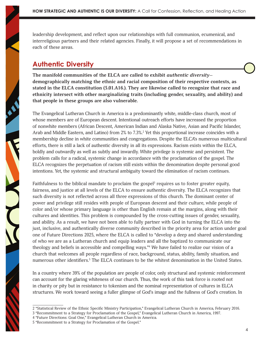leadership development, and reflect upon our relationships with full communion, ecumenical, and interreligious partners and their related agencies. Finally, it will propose a set of recommendations in each of these areas.

#### **Authentic Diversity**

**The manifold communities of the ELCA are called to exhibit** *authentic diversity* **demographically matching the ethnic and racial composition of their respective contexts, as stated in the ELCA constitution (5.01.A16.). They are likewise called to recognize that race and ethnicity intersect with other marginalizing traits (including gender, sexuality, and ability) and that people in these groups are also vulnerable.**

The Evangelical Lutheran Church in America is a predominantly white, middle-class church, most of whose members are of European descent. Intentional outreach efforts have increased the proportion of nonwhite members (African Descent, American Indian and Alaska Native, Asian and Pacific Islander, Arab and Middle Eastern, and Latino) from 2% to 7.3%.<sup>2</sup> Yet this proportional increase coincides with a membership decline in white communities and congregations. Despite the ELCA's numerous multicultural efforts, there is still a lack of authentic diversity in all its expressions. Racism exists within the ELCA, boldly and outwardly as well as subtly and inwardly. White privilege is systemic and persistent. The problem calls for a radical, systemic change in accordance with the proclamation of the gospel. The ELCA recognizes the perpetuation of racism still exists within the denomination despite personal good intentions. Yet, the systemic and structural ambiguity toward the elimination of racism continues.

Faithfulness to the biblical mandate to proclaim the gospel<sup>3</sup> requires us to foster greater equity, fairness, and justice at all levels of the ELCA to ensure authentic diversity. The ELCA recognizes that such diversity is not reflected across all three expressions of this church. The dominant center of power and privilege still resides with people of European descent and their culture, while people of color and/or whose primary language is other than English remain at the margins, along with their cultures and identities. This problem is compounded by the cross-cutting issues of gender, sexuality, and ability. As a result, we have not been able to fully partner with God in turning the ELCA into the just, inclusive, and authentically diverse community described in the priority area for action under goal one of Future Directions 2025, where the ELCA is called to "develop a deep and shared understanding of who we are as a Lutheran church and equip leaders and all the baptized to communicate our theology and beliefs in accessible and compelling ways."4 We have failed to realize our vision of a church that welcomes all people regardless of race, background, status, ability, family situation, and numerous other identifiers.<sup>5</sup> The ELCA continues to be the whitest denomination in the United States.

In a country where 39% of the population are people of color, only structural and systemic reinforcement can account for the glaring whiteness of our church. Thus, the work of this task force is rooted not in charity or pity but in resistance to tokenism and the nominal representation of cultures in ELCA structures. We work toward seeing a fuller glimpse of God's image and the fullness of God's creation. In

<sup>2 &</sup>quot;Statistical Review of the Ethnic Specific Ministry Participation," Evangelical Lutheran Church in America, February 2016.

<sup>3 &</sup>quot;Recommitment to a Strategy for Proclamation of the Gospel," Evangelical Lutheran Church in America, 1997.

<sup>4 &</sup>quot;Future Directions: Goal One," Evangelical Lutheran Church in America.

<sup>5 &</sup>quot;Recommitment to a Strategy for Proclamation of the Gospel."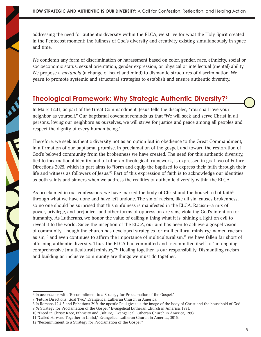addressing the need for authentic diversity within the ELCA, we strive for what the Holy Spirit created in the Pentecost moment: the fullness of God's diversity and creativity existing simultaneously in space and time.

We condemn any form of discrimination or harassment based on color, gender, race, ethnicity, social or socioeconomic status, sexual orientation, gender expression, or physical or intellectual (mental) ability. We propose a *metanoia* (a change of heart and mind) to dismantle structures of discrimination. We yearn to promote systemic and structural strategies to establish and ensure authentic diversity.

#### **Theological Framework: Why Strategic Authentic Diversity?6**

In Mark 12:31, as part of the Great Commandment, Jesus tells the disciples, "You shall love your neighbor as yourself." Our baptismal covenant reminds us that "We will seek and serve Christ in all persons, loving our neighbors as ourselves, we will strive for justice and peace among all peoples and respect the dignity of every human being."

Therefore, we seek authentic diversity not as an option but in obedience to the Great Commandment, in affirmation of our baptismal promise, in proclamation of the gospel, and toward the restoration of God's beloved community from the brokenness we have created. The need for this authentic diversity, tied to incarnational identity and a Lutheran theological framework, is expressed in goal two of Future Directions 2025, which in part aims to "form and equip the baptized to express their faith through their life and witness as followers of Jesus."7 Part of this expression of faith is to acknowledge our identities as both saints and sinners when we address the realities of authentic diversity within the ELCA.

As proclaimed in our confessions, we have marred the body of Christ and the household of faith $8$ through what we have done and have left undone. The sin of racism, like all sin, causes brokenness, so no one should be surprised that this sinfulness is manifested in the ELCA. Racism—a mix of power, privilege, and prejudice—and other forms of oppression are sins, violating God's intention for humanity. As Lutherans, we honor the value of calling a thing what it is, shining a light on evil to reveal it to the world. Since the inception of the ELCA, our aim has been to achieve a gospel vision of community. Though the church has developed strategies for multicultural ministry,<sup>9</sup> named racism as sin,<sup>10</sup> and even continues to affirm the importance of multiculturalism,<sup>11</sup> we have fallen far short of affirming authentic diversity. Thus, the ELCA had committed and recommitted itself to "an ongoing comprehensive [multicultural] ministry."12 Healing together is our responsibility. Dismantling racism and building an inclusive community are things we must do together.

<sup>6</sup> In accordance with "Recommitment to a Strategy for Proclamation of the Gospel."

<sup>7 &</sup>quot;Future Directions: Goal Two," Evangelical Lutheran Church in America.

<sup>8</sup> In Romans 12:4-5 and Ephesians 2:19, the apostle Paul gives us the image of the body of Christ and the household of God. 9 "A Strategy for Proclamation of the Gospel," Evangelical Lutheran Church in America, 1991.

<sup>10 &</sup>quot;Freed in Christ: Race, Ethnicity and Culture," Evangelical Lutheran Church in America, 1993.

<sup>11 &</sup>quot;Called Forward Together in Christ," Evangelical Lutheran Church in America, 2015.

<sup>12 &</sup>quot;Recommitment to a Strategy for Proclamation of the Gospel."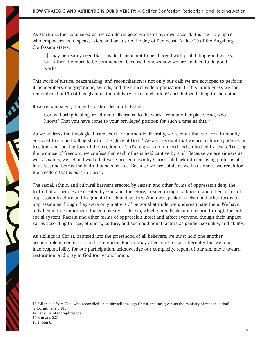As Martin Luther counseled us, we can do no good works of our own accord. It is the Holy Spirit who empowers us to speak, listen, and act, as on the day of Pentecost. Article 20 of the Augsburg Confession states:

[I]t may be readily seen that this doctrine is not to be charged with prohibiting good works, but rather the more to be commended, because it shows how we are enabled to do good works.

This work of justice, peacemaking, and reconciliation is not only our call; we are equipped to perform it, as members, congregations, synods, and the churchwide organization. In this humbleness we can remember that Christ has given us the ministry of reconciliation<sup>13</sup> and that we belong to each other.

If we remain silent, it may be as Mordecai told Esther:

God will bring healing, relief and deliverance to the world from another place. And, who knows? That you have come to your privileged position for such a time as this.<sup>14</sup>

As we address the theological framework for authentic diversity, we recount that we are a humanity enslaved to sin and falling short of the glory of God.<sup>15</sup> We also recount that we are a church gathered in freedom and looking toward the freedom of God's reign as announced and embodied by Jesus. Trusting the promise of freedom, we confess that each of us is held captive by sin.<sup>16</sup> Because we are sinners as well as saints, we rebuild walls that were broken down by Christ, fall back into enslaving patterns of injustice, and betray the truth that sets us free. Because we are saints as well as sinners, we reach for the freedom that is ours in Christ.

The racial, ethnic, and cultural barriers erected by racism and other forms of oppression deny the truth that all people are created by God and, therefore, created in dignity. Racism and other forms of oppression fracture and fragment church and society. When we speak of racism and other forms of oppression as though they were only matters of personal attitude, we underestimate them. We have only begun to comprehend the complexity of the sin, which spreads like an infection through the entire social system. Racism and other forms of oppression infect and affect everyone, though their impact varies according to race, ethnicity, culture, and such additional factors as gender, sexuality, and ability.

As siblings in Christ, baptized into the priesthood of all believers, we must hold one another accountable in confession and repentance. Racism may affect each of us differently, but we must take responsibility for our participation, acknowledge our complicity, repent of our sin, move toward restoration, and pray to God for reconciliation.

NEW YORK

**SERVICE** 

<sup>13 &</sup>quot;All this is from God, who reconciled us to himself through Christ and has given us the ministry of reconciliation" (2 Corinthians 5:18).

<sup>14</sup> Esther 4:14 (paraphrased).

<sup>15</sup> Romans 3:23.

<sup>16 1</sup> John 8.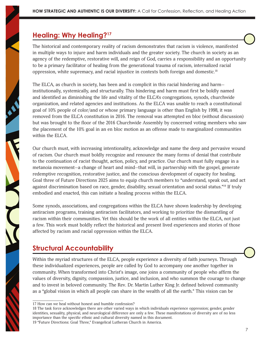#### **Healing: Why Healing?17**

The historical and contemporary reality of racism demonstrates that racism is violence, manifested in multiple ways to injure and harm individuals and the greater society. The church in society as an agency of the redemptive, restorative will, and reign of God, carries a responsibility and an opportunity to be a primary facilitator of healing from the generational trauma of racism, internalized racial oppression, white supremacy, and racial injustice in contexts both foreign and domestic.18

The ELCA, as church in society, has been and is complicit in this racial hindering and harm institutionally, systemically, and structurally. This hindering and harm must first be boldly named and identified as diminishing the life and vitality of the ELCA's congregations, synods, churchwide organization, and related agencies and institutions. As the ELCA was unable to reach a constitutional goal of 10% people of color/and or whose primary language is other than English by 1998, it was removed from the ELCA constitution in 2016. The removal was attempted en bloc (without discussion) but was brought to the floor of the 2016 Churchwide Assembly by concerned voting members who saw the placement of the 10% goal in an en bloc motion as an offense made to marginalized communities within the ELCA.

Our church must, with increasing intentionality, acknowledge and name the deep and pervasive wound of racism. Our church must boldly recognize and renounce the many forms of denial that contribute to the continuation of racist thought, action, policy, and practice. Our church must fully engage in a metanoia movement—a change of heart and mind—that will, in partnership with the gospel, generate redemptive recognition, restorative justice, and the conscious development of capacity for healing. Goal three of Future Directions 2025 aims to equip church members to "understand, speak out, and act against discrimination based on race, gender, disability, sexual orientation and social status."19 If truly embodied and enacted, this can initiate a healing process within the ELCA.

Some synods, associations, and congregations within the ELCA have shown leadership by developing antiracism programs, training antiracism facilitators, and working to prioritize the dismantling of racism within their communities. Yet this should be the work of all entities within the ELCA, not just a few. This work must boldly reflect the historical and present lived experiences and stories of those affected by racism and racial oppression within the ELCA.

### **Structural Accountability**

Within the myriad structures of the ELCA, people experience a diversity of faith journeys. Through these individualized experiences, people are called by God to accompany one another together in community. When transformed into Christ's image, one joins a community of people who affirm the values of diversity, dignity, compassion, justice, and inclusion, and who summon the courage to change and to invest in beloved community. The Rev. Dr. Martin Luther King Jr. defined beloved community as a "global vision in which all people can share in the wealth of all the earth." This vision can be

<sup>17</sup> How can we heal without honest and humble confession?

<sup>18</sup> The task force acknowledges there are other varied ways in which individuals experience oppression; gender, gender identities, sexuality, physical, and neurological difference are only a few. These manifestations of diversity are of no less importance than the specific ethnic and cultural diversity named in this document. 19 "Future Directions: Goal Three," Evangelical Lutheran Church in America.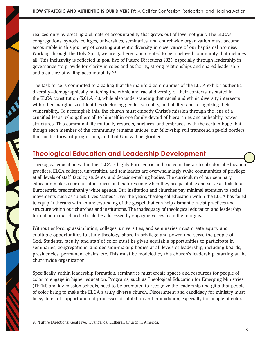realized only by creating a climate of accountability that grows out of love, not guilt. The ELCA's congregations, synods, colleges, universities, seminaries, and churchwide organization must become accountable in this journey of creating authentic diversity in observance of our baptismal promise. Working through the Holy Spirit, we are gathered and created to be a beloved community that includes all. This inclusivity is reflected in goal five of Future Directions 2025, especially through leadership in governance "to provide for clarity in roles and authority, strong relationships and shared leadership and a culture of willing accountability."20

The task force is committed to a calling that the manifold communities of the ELCA exhibit authentic diversity—demographically matching the ethnic and racial diversity of their contexts, as stated in the ELCA constitution (5.01.A16.), while also understanding that racial and ethnic diversity intersects with other marginalized identities (including gender, sexuality, and ability) and recognizing their vulnerability. To accomplish this, the church must embody Christ's mission through the lens of a crucified Jesus, who gathers all to himself in one family devoid of hierarchies and unhealthy power structures. This communal life mutually respects, nurtures, and embraces, with the certain hope that, though each member of the community remains unique, our fellowship will transcend age-old borders that hinder forward progression, and that God will be glorified.

#### **Theological Education and Leadership Development**

Theological education within the ELCA is highly Eurocentric and rooted in hierarchical colonial education practices. ELCA colleges, universities, and seminaries are overwhelmingly white communities of privilege at all levels of staff, faculty, students, and decision-making bodies. The curriculum of our seminary education makes room for other races and cultures only when they are palatable and serve as foils to a Eurocentric, predominantly white agenda. Our institution and churches pay minimal attention to social movements such as "Black Lives Matter." Over the years, theological education within the ELCA has failed to equip Lutherans with an understanding of the gospel that can help dismantle racist practices and structure within our churches and institutions. The inadequacy of theological education and leadership formation in our church should be addressed by engaging voices from the margins.

Without enforcing assimilation, colleges, universities, and seminaries must create equity and equitable opportunities to study theology, share in privilege and power, and serve the people of God. Students, faculty, and staff of color must be given equitable opportunities to participate in seminaries, congregations, and decision-making bodies at all levels of leadership, including boards, presidencies, permanent chairs, etc. This must be modeled by this church's leadership, starting at the churchwide organization.

Specifically, within leadership formation, seminaries must create spaces and resources for people of color to engage in higher education. Programs, such as Theological Education for Emerging Ministries (TEEM) and lay mission schools, need to be promoted to recognize the leadership and gifts that people of color bring to make the ELCA a truly diverse church. Discernment and candidacy for ministry must be systems of support and not processes of inhibition and intimidation, especially for people of color.

<sup>20 &</sup>quot;Future Directions: Goal Five," Evangelical Lutheran Church in America.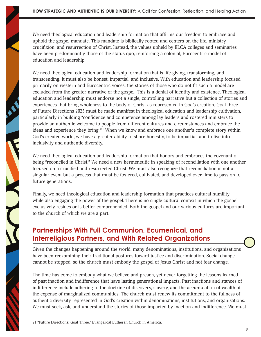We need theological education and leadership formation that affirms our freedom to embrace and uphold the gospel mandate. This mandate is biblically rooted and centers on the life, ministry, crucifixion, and resurrection of Christ. Instead, the values upheld by ELCA colleges and seminaries have been predominantly those of the status quo, reinforcing a colonial, Eurocentric model of education and leadership.

We need theological education and leadership formation that is life-giving, transforming, and transcending. It must also be honest, impartial, and inclusive. With education and leadership focused primarily on western and Eurocentric voices, the stories of those who do not fit such a model are excluded from the greater narrative of the gospel. This is a denial of identity and existence. Theological education and leadership must endorse not a single, controlling narrative but a collection of stories and experiences that bring wholeness to the body of Christ as represented in God's creation. Goal three of Future Directions 2025 must be made manifest in theological education and leadership cultivation, particularly in building "confidence and competence among lay leaders and rostered ministers to provide an authentic welcome to people from different cultures and circumstances and embrace the ideas and experience they bring."<sup>21</sup> When we know and embrace one another's complete story within God's created world, we have a greater ability to share honestly, to be impartial, and to live into inclusivity and authentic diversity.

We need theological education and leadership formation that honors and embraces the covenant of being "reconciled in Christ." We need a new hermeneutic in speaking of reconciliation with one another, focused on a crucified and resurrected Christ. We must also recognize that reconciliation is not a singular event but a process that must be fostered, cultivated, and developed over time to pass on to future generations.

Finally, we need theological education and leadership formation that practices cultural humility while also engaging the power of the gospel. There is no single cultural context in which the gospel exclusively resides or is better comprehended. Both the gospel and our various cultures are important to the church of which we are a part.

#### **Partnerships With Full Communion, Ecumenical, and Interreligious Partners, and With Related Organizations**

Given the changes happening around the world, many denominations, institutions, and organizations have been reexamining their traditional postures toward justice and discrimination. Social change cannot be stopped, so the church must embody the gospel of Jesus Christ and not fear change.

The time has come to embody what we believe and preach, yet never forgetting the lessons learned of past inaction and indifference that have lasting generational impacts. Past inactions and stances of indifference include adhering to the doctrine of discovery, slavery, and the accumulation of wealth at the expense of marginalized communities. The church must renew its commitment to the fullness of authentic diversity represented in God's creation within denominations, institutions, and organizations. We must seek, ask, and understand the stories of those impacted by inaction and indifference. We must

21 "Future Directions: Goal Three," Evangelical Lutheran Church in America.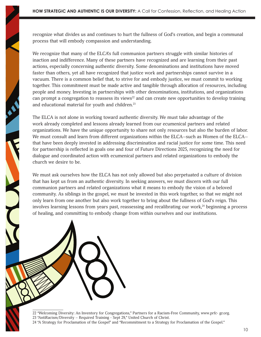recognize what divides us and continues to hurt the fullness of God's creation, and begin a communal process that will embody compassion and understanding.

We recognize that many of the ELCA's full communion partners struggle with similar histories of inaction and indifference. Many of these partners have recognized and are learning from their past actions, especially concerning authentic diversity. Some denominations and institutions have moved faster than others, yet all have recognized that justice work and partnerships cannot survive in a vacuum. There is a common belief that, to strive for and embody justice, we must commit to working together. This commitment must be made active and tangible through allocation of resources, including people and money. Investing in partnerships with other denominations, institutions, and organizations can prompt a congregation to reassess its views<sup>22</sup> and can create new opportunities to develop training and educational material for youth and children.<sup>23</sup>

The ELCA is not alone in working toward authentic diversity. We must take advantage of the work already completed and lessons already learned from our ecumenical partners and related organizations. We have the unique opportunity to share not only resources but also the burden of labor. We must consult and learn from different organizations within the ELCA–such as Women of the ELCA– that have been deeply invested in addressing discrimination and racial justice for some time. This need for partnership is reflected in goals one and four of Future Directions 2025, recognizing the need for dialogue and coordinated action with ecumenical partners and related organizations to embody the church we desire to be.

We must ask ourselves how the ELCA has not only allowed but also perpetuated a culture of division that has kept us from an authentic diversity. In seeking answers, we must discern with our full communion partners and related organizations what it means to embody the vision of a beloved community. As siblings in the gospel, we must be invested in this work together, so that we might not only learn from one another but also work together to bring about the fullness of God's reign. This involves learning lessons from years past, reassessing and recalibrating our work, $^{24}$  beginning a process of healing, and committing to embody change from within ourselves and our institutions.

22 "Welcoming Diversity: An Inventory for Congregations," Partners for a Racism-Free Community, www.prfc- gr.org. 23 "AntiRacism/Diversity – Required Training - Sept 29," United Church of Christ. 24 "A Strategy for Proclamation of the Gospel" and "Recommitment to a Strategy for Proclamation of the Gospel."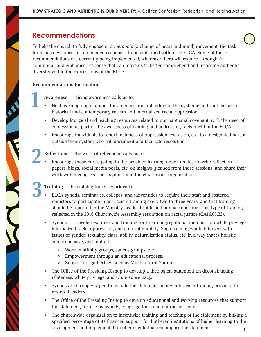#### **Recommendations**

To help the church to fully engage in a *metanoia* (a change of heart and mind) movement, the task force has developed recommended responses to be embodied within the ELCA. Some of these recommendations are currently being implemented, whereas others will require a thoughtful, communal, and embodied response that can move us to better comprehend and incarnate authentic diversity within the expressions of the ELCA.

#### **Recommendations for Healing**

**1**

**Awareness —** raising awareness calls us to:

- Host learning opportunities for a deeper understanding of the systemic and root causes of historical and contemporary racism and internalized racial oppression.
- Develop liturgical and teaching resources related to our baptismal covenant, with the need of confession as part of the awareness of naming and addressing racism within the ELCA.
- Encourage individuals to report instances of oppression, exclusion, etc. to a designated person outside their system who will document and facilitate resolution.

**Reflections —** the work of reflections calls us to: **2**

• Encourage those participating in the provided learning opportunities to write reflection papers, blogs, social media posts, etc. on insights gleaned from those sessions, and share their work within congregations, synods, and the churchwide organization.

**Training —** the training for this work calls: **3**

- ELCA synods, seminaries, colleges, and universities to require their staff and rostered ministers to participate in antiracism training every two to three years, and that training should be reported in the Ministry Leader Profile and annual reporting. This type of training is reflected in the 2016 Churchwide Assembly resolution on racial justice (CA16.05.22).
- Synods to provide resources and training for their congregational members on white privilege, internalized racial oppression, and cultural humility. Such training would intersect with issues of gender, sexuality, class, ability, naturalization status, etc. in a way that is holistic, comprehensive, and mutual.
	- Work in affinity groups, caucus groups, etc.
	- $\mathbf{o}$ Empowerment through an educational process.
	- $\mathsf{o}$ Support for gatherings such as Multicultural Summit.
- The Office of the Presiding Bishop to develop a theological statement on deconstructing whiteness, white privilege, and white supremacy.
- Synods are strongly urged to include the statement in any antiracism training provided to rostered leaders.
- The Office of the Presiding Bishop to develop educational and worship resources that support the statement, for use by synods, congregations, and antiracism teams.
- The churchwide organization to incentivize training and teaching of the statement by linking a specified percentage of its financial support for Lutheran institutions of higher learning to the development and implementation of curricula that encompass the statement.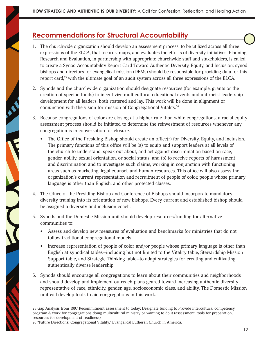#### **Recommendations for Structural Accountability**

- 1. The churchwide organization should develop an assessment process, to be utilized across all three expressions of the ELCA, that records, maps, and evaluates the efforts of diversity initiatives. Planning, Research and Evaluation, in partnership with appropriate churchwide staff and stakeholders, is called to create a Synod Accountability Report Card Toward Authentic Diversity, Equity, and Inclusion; synod bishops and directors for evangelical mission (DEMs) should be responsible for providing data for this report card, $25$  with the ultimate goal of an audit system across all three expressions of the ELCA.
- 2. Synods and the churchwide organization should designate resources (for example, grants or the creation of specific funds) to incentivize multicultural educational events and antiracist leadership development for all leaders, both rostered and lay. This work will be done in alignment or conjunction with the vision for mission of Congregational Vitality.<sup>26</sup>
- 3. Because congregations of color are closing at a higher rate than white congregations, a racial equity assessment process should be initiated to determine the reinvestment of resources whenever any congregation is in conversation for closure.
	- The Office of the Presiding Bishop should create an office(r) for Diversity, Equity, and Inclusion. The primary functions of this office will be (a) to equip and support leaders at all levels of the church to understand, speak out about, and act against discrimination based on race, gender, ability, sexual orientation, or social status, and (b) to receive reports of harassment and discrimination and to investigate such claims, working in conjunction with functioning areas such as marketing, legal counsel, and human resources. This office will also assess the organization's current representation and recruitment of people of color, people whose primary language is other than English, and other protected classes.
- 4. The Office of the Presiding Bishop and Conference of Bishops should incorporate mandatory diversity training into its orientation of new bishops. Every current and established bishop should be assigned a diversity and inclusion coach.
- 5. Synods and the Domestic Mission unit should develop resources/funding for alternative communities to:
	- Assess and develop new measures of evaluation and benchmarks for ministries that do not follow traditional congregational models.
	- Increase representation of people of color and/or people whose primary language is other than English at synodical tables—including but not limited to the Vitality table, Stewardship Mission Support table, and Strategic Thinking table—to adapt strategies for creating and cultivating authentically diverse leadership.
- 6. Synods should encourage all congregations to learn about their communities and neighborhoods and should develop and implement outreach plans geared toward increasing authentic diversity representative of race, ethnicity, gender, age, socioeconomic class, and ability. The Domestic Mission unit will develop tools to aid congregations in this work.

<sup>25</sup> Gap Analysis from 1997 Recommitment assessment to today; Designate funding to Provide Intercultural competency program & work for congregations doing multicultural ministry or wanting to do it (assessment, tools for preparation, resources for development of readiness)

<sup>26 &</sup>quot;Future Directions: Congregational Vitality," Evangelical Lutheran Church in America.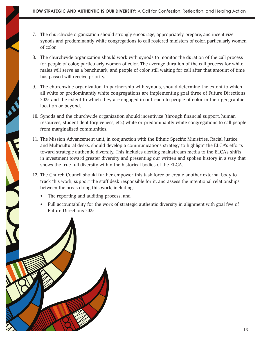- 7. The churchwide organization should strongly encourage, appropriately prepare, and incentivize synods and predominantly white congregations to call rostered ministers of color, particularly women of color.
- 8. The churchwide organization should work with synods to monitor the duration of the call process for people of color, particularly women of color. The average duration of the call process for white males will serve as a benchmark, and people of color still waiting for call after that amount of time has passed will receive priority.
- 9. The churchwide organization, in partnership with synods, should determine the extent to which all white or predominantly white congregations are implementing goal three of Future Directions 2025 and the extent to which they are engaged in outreach to people of color in their geographic location or beyond.
- 10. Synods and the churchwide organization should incentivize (through financial support, human resources, student debt forgiveness, etc.) white or predominantly white congregations to call people from marginalized communities.
- 11. The Mission Advancement unit, in conjunction with the Ethnic Specific Ministries, Racial Justice, and Multicultural desks, should develop a communications strategy to highlight the ELCA's efforts toward strategic authentic diversity. This includes alerting mainstream media to the ELCA's shifts in investment toward greater diversity and presenting our written and spoken history in a way that shows the true full diversity within the historical bodies of the ELCA.
- 12. The Church Council should further empower this task force or create another external body to track this work, support the staff desk responsible for it, and assess the intentional relationships between the areas doing this work, including:
	- The reporting and auditing process, and
	- Full accountability for the work of strategic authentic diversity in alignment with goal five of Future Directions 2025.

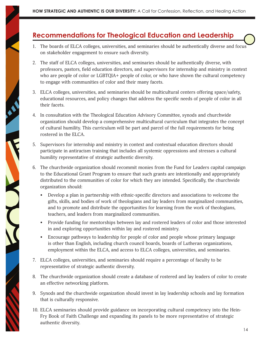#### **Recommendations for Theological Education and Leadership**

- 1. The boards of ELCA colleges, universities, and seminaries should be authentically diverse and focus on stakeholder engagement to ensure such diversity.
- 2. The staff of ELCA colleges, universities, and seminaries should be authentically diverse, with professors, pastors, field education directors, and supervisors for internship and ministry in context who are people of color or LGBTQIA+ people of color, or who have shown the cultural competency to engage with communities of color and their many facets.
- 3. ELCA colleges, universities, and seminaries should be multicultural centers offering space/safety, educational resources, and policy changes that address the specific needs of people of color in all their facets.
- 4. In consultation with the Theological Education Advisory Committee, synods and churchwide organization should develop a comprehensive multicultural curriculum that integrates the concept of cultural humility. This curriculum will be part and parcel of the full requirements for being rostered in the ELCA.
- 5. Supervisors for internship and ministry in context and contextual education directors should participate in antiracism training that includes all systemic oppressions and stresses a cultural humility representative of strategic authentic diversity.
- 6. The churchwide organization should recommit monies from the Fund for Leaders capital campaign to the Educational Grant Program to ensure that such grants are intentionally and appropriately distributed to the communities of color for which they are intended. Specifically, the churchwide organization should:
	- Develop a plan in partnership with ethnic-specific directors and associations to welcome the gifts, skills, and bodies of work of theologians and lay leaders from marginalized communities, and to promote and distribute the opportunities for learning from the work of theologians, teachers, and leaders from marginalized communities.
	- Provide funding for mentorships between lay and rostered leaders of color and those interested in and exploring opportunities within lay and rostered ministry.
	- Encourage pathways to leadership for people of color and people whose primary language is other than English, including church council boards, boards of Lutheran organizations, employment within the ELCA, and access to ELCA colleges, universities, and seminaries.
- 7. ELCA colleges, universities, and seminaries should require a percentage of faculty to be representative of strategic authentic diversity.
- 8. The churchwide organization should create a database of rostered and lay leaders of color to create an effective networking platform.
- 9. Synods and the churchwide organization should invest in lay leadership schools and lay formation that is culturally responsive.
- 10. ELCA seminaries should provide guidance on incorporating cultural competency into the Hein-Fry Book of Faith Challenge and expanding its panels to be more representative of strategic authentic diversity.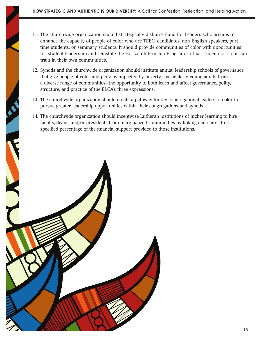- 11. The churchwide organization should strategically disburse Fund for Leaders scholarships to enhance the capacity of people of color who are TEEM candidates, non-English speakers, parttime students, or seminary students. It should provide communities of color with opportunities for student leadership and reinstate the Horizon Internship Program so that students of color can train in their own communities.
- 12. Synods and the churchwide organization should institute annual leadership schools of governance that give people of color and persons impacted by poverty—particularly young adults from a diverse range of communities—the opportunity to both learn and affect governance, polity, structure, and practice of the ELCA's three expressions.
- 13. The churchwide organization should create a pathway for lay congregational leaders of color to pursue greater leadership opportunities within their congregations and synods.
- 14. The churchwide organization should incentivize Lutheran institutions of higher learning to hire faculty, deans, and/or presidents from marginalized communities by linking such hires to a specified percentage of the financial support provided to those institutions.